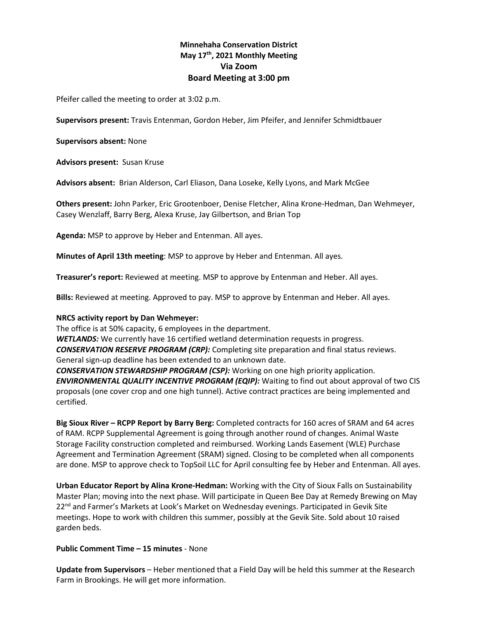# **Minnehaha Conservation District May 17th, 2021 Monthly Meeting Via Zoom Board Meeting at 3:00 pm**

Pfeifer called the meeting to order at 3:02 p.m.

**Supervisors present:** Travis Entenman, Gordon Heber, Jim Pfeifer, and Jennifer Schmidtbauer

**Supervisors absent:** None

**Advisors present:** Susan Kruse

**Advisors absent:** Brian Alderson, Carl Eliason, Dana Loseke, Kelly Lyons, and Mark McGee

**Others present:** John Parker, Eric Grootenboer, Denise Fletcher, Alina Krone-Hedman, Dan Wehmeyer, Casey Wenzlaff, Barry Berg, Alexa Kruse, Jay Gilbertson, and Brian Top

**Agenda:** MSP to approve by Heber and Entenman. All ayes.

**Minutes of April 13th meeting**: MSP to approve by Heber and Entenman. All ayes.

**Treasurer's report:** Reviewed at meeting. MSP to approve by Entenman and Heber. All ayes.

**Bills:** Reviewed at meeting. Approved to pay. MSP to approve by Entenman and Heber. All ayes.

#### **NRCS activity report by Dan Wehmeyer:**

The office is at 50% capacity, 6 employees in the department.

*WETLANDS:* We currently have 16 certified wetland determination requests in progress. *CONSERVATION RESERVE PROGRAM (CRP):* Completing site preparation and final status reviews. General sign-up deadline has been extended to an unknown date.

*CONSERVATION STEWARDSHIP PROGRAM (CSP):* Working on one high priority application. *ENVIRONMENTAL QUALITY INCENTIVE PROGRAM (EQIP):* Waiting to find out about approval of two CIS proposals (one cover crop and one high tunnel). Active contract practices are being implemented and certified.

**Big Sioux River – RCPP Report by Barry Berg:** Completed contracts for 160 acres of SRAM and 64 acres of RAM. RCPP Supplemental Agreement is going through another round of changes. Animal Waste Storage Facility construction completed and reimbursed. Working Lands Easement (WLE) Purchase Agreement and Termination Agreement (SRAM) signed. Closing to be completed when all components are done. MSP to approve check to TopSoil LLC for April consulting fee by Heber and Entenman. All ayes.

**Urban Educator Report by Alina Krone-Hedman:** Working with the City of Sioux Falls on Sustainability Master Plan; moving into the next phase. Will participate in Queen Bee Day at Remedy Brewing on May 22<sup>nd</sup> and Farmer's Markets at Look's Market on Wednesday evenings. Participated in Gevik Site meetings. Hope to work with children this summer, possibly at the Gevik Site. Sold about 10 raised garden beds.

# **Public Comment Time – 15 minutes** - None

**Update from Supervisors** – Heber mentioned that a Field Day will be held this summer at the Research Farm in Brookings. He will get more information.